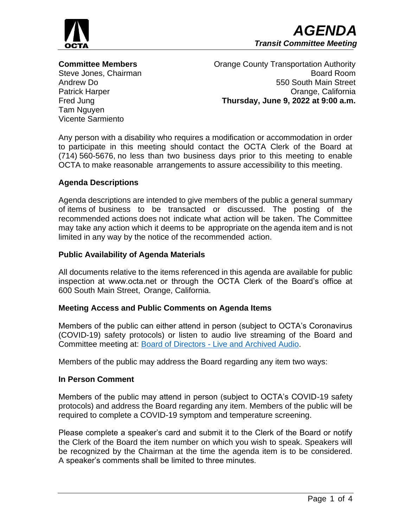

**Committee Members** Steve Jones, Chairman Andrew Do Patrick Harper Fred Jung Tam Nguyen Vicente Sarmiento

Orange County Transportation Authority Board Room 550 South Main Street Orange, California **Thursday, June 9, 2022 at 9:00 a.m.**

Any person with a disability who requires a modification or accommodation in order to participate in this meeting should contact the OCTA Clerk of the Board at (714) 560-5676, no less than two business days prior to this meeting to enable OCTA to make reasonable arrangements to assure accessibility to this meeting.

## **Agenda Descriptions**

Agenda descriptions are intended to give members of the public a general summary of items of business to be transacted or discussed. The posting of the recommended actions does not indicate what action will be taken. The Committee may take any action which it deems to be appropriate on the agenda item and is not limited in any way by the notice of the recommended action.

## **Public Availability of Agenda Materials**

All documents relative to the items referenced in this agenda are available for public inspection at www.octa.net or through the OCTA Clerk of the Board's office at 600 South Main Street, Orange, California.

### **Meeting Access and Public Comments on Agenda Items**

Members of the public can either attend in person (subject to OCTA's Coronavirus (COVID-19) safety protocols) or listen to audio live streaming of the Board and Committee meeting at: Board of Directors - [Live and Archived Audio.](http://www.octa.net/About-OCTA/Who-We-Are/Board-of-Directors/Live-and-Archived-Audio/)

Members of the public may address the Board regarding any item two ways:

### **In Person Comment**

Members of the public may attend in person (subject to OCTA's COVID-19 safety protocols) and address the Board regarding any item. Members of the public will be required to complete a COVID-19 symptom and temperature screening.

Please complete a speaker's card and submit it to the Clerk of the Board or notify the Clerk of the Board the item number on which you wish to speak. Speakers will be recognized by the Chairman at the time the agenda item is to be considered. A speaker's comments shall be limited to three minutes.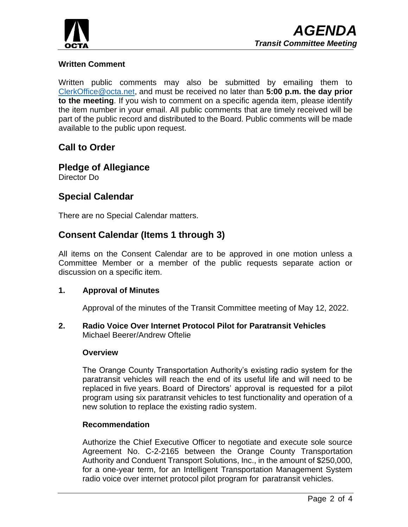

# **Written Comment**

Written public comments may also be submitted by emailing them to [ClerkOffice@octa.net,](mailto:ClerkOffice@octa.net) and must be received no later than **5:00 p.m. the day prior to the meeting**. If you wish to comment on a specific agenda item, please identify the item number in your email. All public comments that are timely received will be part of the public record and distributed to the Board. Public comments will be made available to the public upon request.

# **Call to Order**

**Pledge of Allegiance** Director Do

# **Special Calendar**

There are no Special Calendar matters.

# **Consent Calendar (Items 1 through 3)**

All items on the Consent Calendar are to be approved in one motion unless a Committee Member or a member of the public requests separate action or discussion on a specific item.

# **1. Approval of Minutes**

Approval of the minutes of the Transit Committee meeting of May 12, 2022.

**2. Radio Voice Over Internet Protocol Pilot for Paratransit Vehicles** Michael Beerer/Andrew Oftelie

## **Overview**

The Orange County Transportation Authority's existing radio system for the paratransit vehicles will reach the end of its useful life and will need to be replaced in five years. Board of Directors' approval is requested for a pilot program using six paratransit vehicles to test functionality and operation of a new solution to replace the existing radio system.

# **Recommendation**

Authorize the Chief Executive Officer to negotiate and execute sole source Agreement No. C-2-2165 between the Orange County Transportation Authority and Conduent Transport Solutions, Inc., in the amount of \$250,000, for a one-year term, for an Intelligent Transportation Management System radio voice over internet protocol pilot program for paratransit vehicles.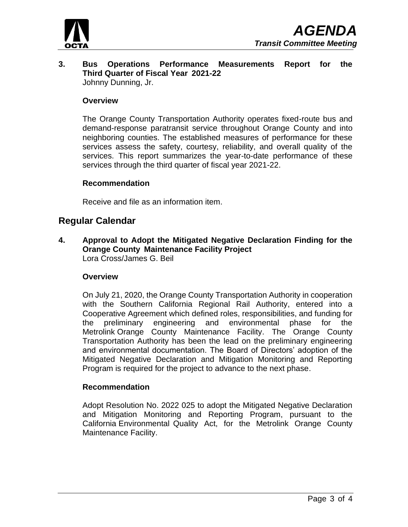

**3. Bus Operations Performance Measurements Report for the Third Quarter of Fiscal Year 2021-22** Johnny Dunning, Jr.

### **Overview**

The Orange County Transportation Authority operates fixed-route bus and demand-response paratransit service throughout Orange County and into neighboring counties. The established measures of performance for these services assess the safety, courtesy, reliability, and overall quality of the services. This report summarizes the year-to-date performance of these services through the third quarter of fiscal year 2021-22.

### **Recommendation**

Receive and file as an information item.

# **Regular Calendar**

**4. Approval to Adopt the Mitigated Negative Declaration Finding for the Orange County Maintenance Facility Project** Lora Cross/James G. Beil

### **Overview**

On July 21, 2020, the Orange County Transportation Authority in cooperation with the Southern California Regional Rail Authority, entered into a Cooperative Agreement which defined roles, responsibilities, and funding for the preliminary engineering and environmental phase for the Metrolink Orange County Maintenance Facility. The Orange County Transportation Authority has been the lead on the preliminary engineering and environmental documentation. The Board of Directors' adoption of the Mitigated Negative Declaration and Mitigation Monitoring and Reporting Program is required for the project to advance to the next phase.

### **Recommendation**

Adopt Resolution No. 2022 025 to adopt the Mitigated Negative Declaration and Mitigation Monitoring and Reporting Program, pursuant to the California Environmental Quality Act, for the Metrolink Orange County Maintenance Facility.